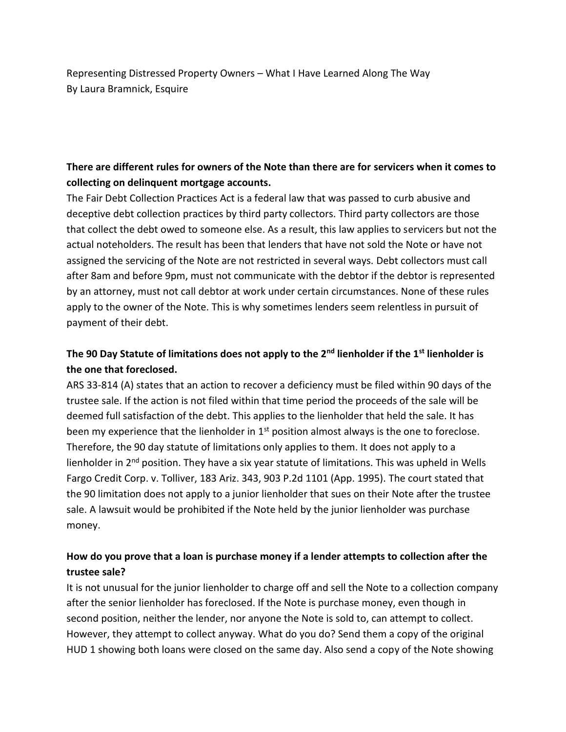Representing Distressed Property Owners – What I Have Learned Along The Way By Laura Bramnick, Esquire

## **There are different rules for owners of the Note than there are for servicers when it comes to collecting on delinquent mortgage accounts.**

The Fair Debt Collection Practices Act is a federal law that was passed to curb abusive and deceptive debt collection practices by third party collectors. Third party collectors are those that collect the debt owed to someone else. As a result, this law applies to servicers but not the actual noteholders. The result has been that lenders that have not sold the Note or have not assigned the servicing of the Note are not restricted in several ways. Debt collectors must call after 8am and before 9pm, must not communicate with the debtor if the debtor is represented by an attorney, must not call debtor at work under certain circumstances. None of these rules apply to the owner of the Note. This is why sometimes lenders seem relentless in pursuit of payment of their debt.

# **The 90 Day Statute of limitations does not apply to the 2nd lienholder if the 1st lienholder is the one that foreclosed.**

ARS 33-814 (A) states that an action to recover a deficiency must be filed within 90 days of the trustee sale. If the action is not filed within that time period the proceeds of the sale will be deemed full satisfaction of the debt. This applies to the lienholder that held the sale. It has been my experience that the lienholder in  $1<sup>st</sup>$  position almost always is the one to foreclose. Therefore, the 90 day statute of limitations only applies to them. It does not apply to a lienholder in 2<sup>nd</sup> position. They have a six year statute of limitations. This was upheld in Wells Fargo Credit Corp. v. Tolliver, 183 Ariz. 343, 903 P.2d 1101 (App. 1995). The court stated that the 90 limitation does not apply to a junior lienholder that sues on their Note after the trustee sale. A lawsuit would be prohibited if the Note held by the junior lienholder was purchase money.

### **How do you prove that a loan is purchase money if a lender attempts to collection after the trustee sale?**

It is not unusual for the junior lienholder to charge off and sell the Note to a collection company after the senior lienholder has foreclosed. If the Note is purchase money, even though in second position, neither the lender, nor anyone the Note is sold to, can attempt to collect. However, they attempt to collect anyway. What do you do? Send them a copy of the original HUD 1 showing both loans were closed on the same day. Also send a copy of the Note showing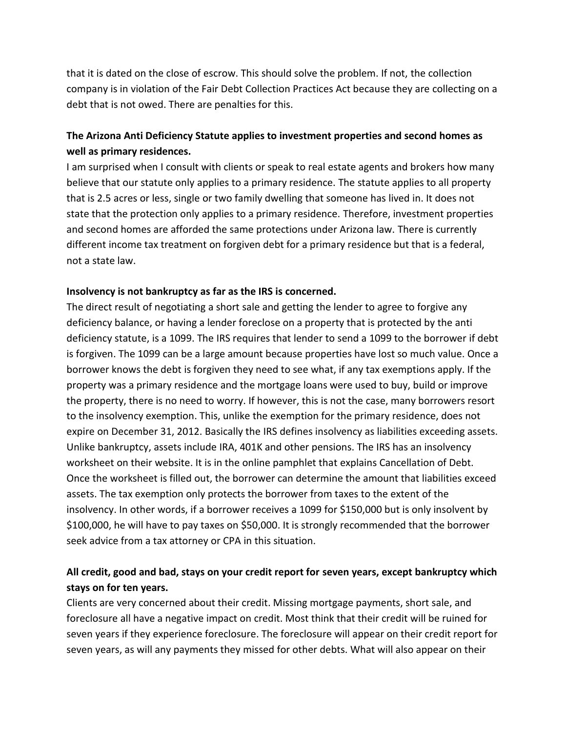that it is dated on the close of escrow. This should solve the problem. If not, the collection company is in violation of the Fair Debt Collection Practices Act because they are collecting on a debt that is not owed. There are penalties for this.

## **The Arizona Anti Deficiency Statute applies to investment properties and second homes as well as primary residences.**

I am surprised when I consult with clients or speak to real estate agents and brokers how many believe that our statute only applies to a primary residence. The statute applies to all property that is 2.5 acres or less, single or two family dwelling that someone has lived in. It does not state that the protection only applies to a primary residence. Therefore, investment properties and second homes are afforded the same protections under Arizona law. There is currently different income tax treatment on forgiven debt for a primary residence but that is a federal, not a state law.

#### **Insolvency is not bankruptcy as far as the IRS is concerned.**

The direct result of negotiating a short sale and getting the lender to agree to forgive any deficiency balance, or having a lender foreclose on a property that is protected by the anti deficiency statute, is a 1099. The IRS requires that lender to send a 1099 to the borrower if debt is forgiven. The 1099 can be a large amount because properties have lost so much value. Once a borrower knows the debt is forgiven they need to see what, if any tax exemptions apply. If the property was a primary residence and the mortgage loans were used to buy, build or improve the property, there is no need to worry. If however, this is not the case, many borrowers resort to the insolvency exemption. This, unlike the exemption for the primary residence, does not expire on December 31, 2012. Basically the IRS defines insolvency as liabilities exceeding assets. Unlike bankruptcy, assets include IRA, 401K and other pensions. The IRS has an insolvency worksheet on their website. It is in the online pamphlet that explains Cancellation of Debt. Once the worksheet is filled out, the borrower can determine the amount that liabilities exceed assets. The tax exemption only protects the borrower from taxes to the extent of the insolvency. In other words, if a borrower receives a 1099 for \$150,000 but is only insolvent by \$100,000, he will have to pay taxes on \$50,000. It is strongly recommended that the borrower seek advice from a tax attorney or CPA in this situation.

# **All credit, good and bad, stays on your credit report for seven years, except bankruptcy which stays on for ten years.**

Clients are very concerned about their credit. Missing mortgage payments, short sale, and foreclosure all have a negative impact on credit. Most think that their credit will be ruined for seven years if they experience foreclosure. The foreclosure will appear on their credit report for seven years, as will any payments they missed for other debts. What will also appear on their